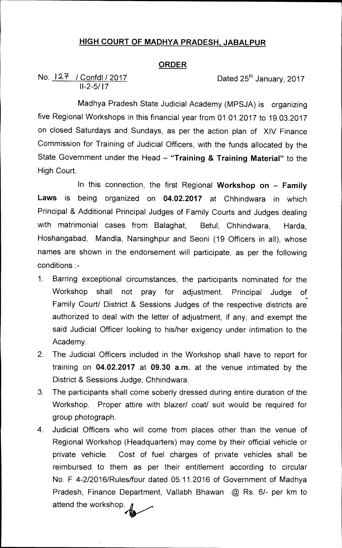## **HIGH COURT OF MADHYA PRADESH, JABALPUR**

## **ORDER**

No.  $127$  / Confdl / 2017 Dated 25<sup>th</sup> January, 2017 11-2-5/17

Madhya Pradesh State Judicial Academy (MPSJA) is organizing five Regional Workshops in this financial year from 01.01.2017 to 19.03.2017 on closed Saturdays and Sundays, as per the action plan of XIV Finance Commission for Training of Judicial Officers, with the funds allocated by the State Government under the Head — **"Training & Training Material"** to the High Court.

In this connection, the first Regional **Workshop on — Family Laws** is being organized on **04.02.2017** at Chhindwara in which Principal & Additional Principal Judges of Family Courts and Judges dealing with matrimonial cases from Balaghat, Betul, Chhindwara, Harda, Hoshangabad, Mandla, Narsinghpur and Seoni (19 Officers in all), whose names are shown in the endorsement will participate, as per the following conditions :-

- 1. Barring exceptional circumstances, the participants nominated for the Workshop shall not pray for adjustment. Principal Judge of Family Court/ District & Sessions Judges of the respective districts are authorized to deal with the letter of adjustment, if any, and exempt the said Judicial Officer looking to his/her exigency under intimation to the Academy.
- 2. The Judicial Officers included in the Workshop shall have to report for training on **04.02.2017** at **09.30 a.m.** at the venue intimated by the District & Sessions Judge, Chhindwara.
- 3. The participants shall come **soberly dressed during entire duration of the**  Workshop. Proper attire with blazer/ coat/ suit would be required for group photograph.
- 4. Judicial Officers who will come from places other than the venue of Regional Workshop (Headquarters) may come by their official vehicle or private vehicle. Cost of fuel charges of private vehicles shall be reimbursed to them as per their entitlement according to circular No. F 4-2/2016/Rules/four dated 05.11.2016 of Government of Madhya Pradesh, Finance Department, Vallabh Bhawan @ Rs. 6/- per km to attend the workshop.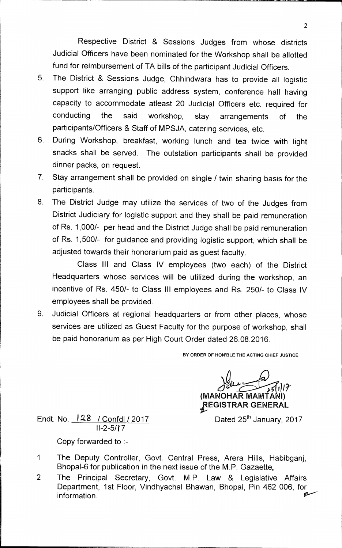Respective District & Sessions Judges from whose districts Judicial Officers have been nominated for the Workshop shall be allotted fund for reimbursement of TA bills of the participant Judicial Officers.

- 5. The District & Sessions Judge, Chhindwara has to provide all logistic support like arranging public address system, conference hall having capacity to accommodate atleast 20 Judicial Officers etc. required for conducting the said workshop, stay arrangements of the participants/Officers & Staff of MPSJA, catering services, etc.
- 6. During Workshop, breakfast, working lunch and tea twice with light snacks shall be served. The outstation participants shall be provided dinner packs, on request.
- 7. Stay arrangement shall be provided on single / twin sharing basis for the participants.
- 8. The District Judge may utilize the services of two of the Judges from District Judiciary for logistic support and they shall be paid remuneration of Rs. 1,000/- per head and the District Judge shall be paid remuneration of Rs. 1,500/- for guidance and providing logistic support, which shall be adjusted towards their honorarium paid as guest faculty.

Class III and Class IV employees (two each) of the District Headquarters whose services will be utilized during the workshop, an incentive of Rs. 450/- to Class III employees and Rs. 250/- to Class IV employees shall be provided.

9. Judicial Officers at regional headquarters or from other places, whose services are utilized as Guest Faculty for the purpose of workshop, shall be paid honorarium as per High Court Order dated 26.08.2016.

**BY ORDER OF HON'BLE THE ACTING CHIEF JUSTICE** 

*1 1*  **(MANOHAR MAMTA I) 1FEGISTRAR GENERAL** 

Dated  $25<sup>th</sup>$  January, 2017

Endt. No. **I 28 /** Confdl / 2017 II-2-5/17

Copy forwarded to :-

- 1 The Deputy Controller, Govt. Central Press, Arera Hills, Habibganj, Bhopal-6 for publication in the next issue of the M.P. Gazaette.
- 2 The Principal Secretary, Govt. M.P. Law & Legislative Affairs Department, 1st Floor, Vindhyachal Bhawan, Bhopal, Pin 462 006, for information.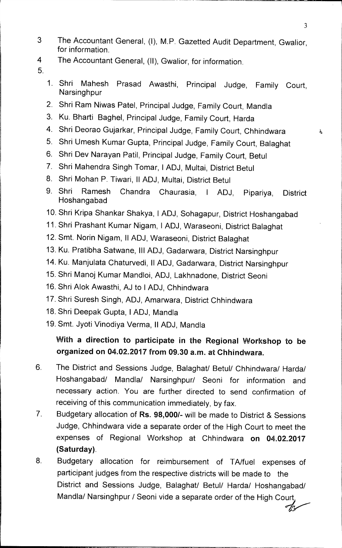- 3 The Accountant General, (I), M.P. Gazetted Audit Department, Gwalior, for information.
- 4 The Accountant General, (II), Gwalior, for information.
- 5.
- 1. Shri Mahesh Prasad Awasthi, Principal Judge, Family Court, **Narsinghpur**
- 2. Shri Ram Niwas Patel, Principal Judge, Family Court, Mandla
- 3. Ku. Bharti Baghel, Principal Judge, Family Court, Harda
- 4. Shri Deorao Gujarkar, Principal Judge, Family Court, Chhindwara
- 5. Shri Umesh Kumar Gupta, Principal Judge, Family Court, Balaghat
- 6. Shri Dev Narayan Patil, Principal Judge, Family Court, Betul
- 7. Shri Mahendra Singh Tomar, I ADJ, Multai, District Betul
- 8. Shri Mohan P. Tiwari, II ADJ, Multai, District Betul
- 9. Shri Ramesh Chandra Chaurasia, I ADJ, Pipariya, District Hoshangabad
- 10. Shri Kripa Shankar Shakya, I ADJ, Sohagapur, District Hoshangabad
- 11. Shri Prashant Kumar Nigam, I ADJ, Waraseoni, District Balaghat
- 12. Smt. Norin Nigam, II ADJ, Waraseoni, District Balaghat
- 13. Ku. Pratibha Satwane, Ill ADJ, Gadarwara, District Narsinghpur
- 14. Ku. Manjulata Chaturvedi, II ADJ, Gadarwara, District Narsinghpur
- 15. Shri Manoj Kumar Mandloi, ADJ, Lakhnadone, District Seoni
- 16. Shri Alok Awasthi, AJ to I ADJ, Chhindwara
- 17. Shri Suresh Singh, ADJ, Amarwara, District Chhindwara
- 18. Shri Deepak Gupta, **I** ADJ, Mandla
- 19. Smt. Jyoti Vinodiya Verma, II ADJ, Mandla

## **With a direction to participate in the Regional Workshop to be organized on 04.02.2017 from 09.30 a.m. at Chhindwara.**

- 6. The District and Sessions Judge, Balaghat/ Betul/ Chhindwara/ Harda/ Hoshangabad/ Mandla/ Narsinghpur/ Seoni for information and necessary action. You are further directed to send confirmation of receiving of this communication immediately, by fax.
- 7 Budgetary allocation of **Rs. 98,000/-** will be made to District & Sessions Judge, Chhindwara vide a separate order of the High Court to meet the expenses of Regional Workshop at Chhindwara **on 04.02.2017 (Saturday).**
- 8. Budgetary allocation for reimbursement of TA/fuel expenses of participant judges from the respective districts will be made to the District and Sessions Judge, Balaghat/ Betul/ Harda/ Hoshangabad/ Mandla/ Narsinghpur / Seoni vide a separate order of the High Court.

ó.

 $Z$